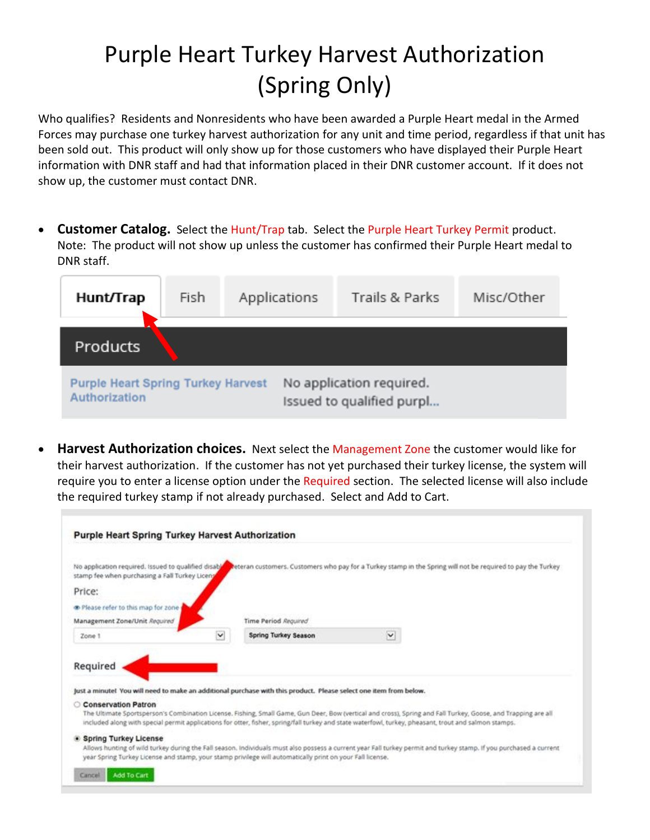## Purple Heart Turkey Harvest Authorization (Spring Only)

Who qualifies? Residents and Nonresidents who have been awarded a Purple Heart medal in the Armed Forces may purchase one turkey harvest authorization for any unit and time period, regardless if that unit has been sold out. This product will only show up for those customers who have displayed their Purple Heart information with DNR staff and had that information placed in their DNR customer account. If it does not show up, the customer must contact DNR.

• **Customer Catalog.** Select the Hunt/Trap tab. Select the Purple Heart Turkey Permit product. Note: The product will not show up unless the customer has confirmed their Purple Heart medal to DNR staff.

| Hunt/Trap                                                  | Fish | Applications | Trails & Parks                                        | Misc/Other |  |  |  |  |
|------------------------------------------------------------|------|--------------|-------------------------------------------------------|------------|--|--|--|--|
| Products                                                   |      |              |                                                       |            |  |  |  |  |
| <b>Purple Heart Spring Turkey Harvest</b><br>Authorization |      |              | No application required.<br>Issued to qualified purpl |            |  |  |  |  |

• **Harvest Authorization choices.** Next select the Management Zone the customer would like for their harvest authorization. If the customer has not yet purchased their turkey license, the system will require you to enter a license option under the Required section. The selected license will also include the required turkey stamp if not already purchased. Select and Add to Cart.

|                                                                                                                               |            | <b>Purple Heart Spring Turkey Harvest Authorization</b>                                                                                               |   |                                                                                                                                                                    |
|-------------------------------------------------------------------------------------------------------------------------------|------------|-------------------------------------------------------------------------------------------------------------------------------------------------------|---|--------------------------------------------------------------------------------------------------------------------------------------------------------------------|
| No application required. Issued to qualified disable<br>stamp fee when purchasing a Fall Turkey Licenz                        |            |                                                                                                                                                       |   | Reteran customers. Customers who pay for a Turkey stamp in the Spring will not be required to pay the Turkey                                                       |
| Price:                                                                                                                        |            |                                                                                                                                                       |   |                                                                                                                                                                    |
| The Please refer to this map for zone                                                                                         |            |                                                                                                                                                       |   |                                                                                                                                                                    |
| Management Zone/Unit Required                                                                                                 |            | Time Period Required                                                                                                                                  |   |                                                                                                                                                                    |
| Zone 1                                                                                                                        | $\check{}$ | <b>Spring Turkey Season</b>                                                                                                                           | M |                                                                                                                                                                    |
| Required<br>Just a minute! You will need to make an additional purchase with this product. Please select one item from below. |            |                                                                                                                                                       |   |                                                                                                                                                                    |
| Conservation Patron                                                                                                           |            | included along with special permit applications for otter, fisher, spring/fall turkey and state waterfowl, turkey, pheasant, trout and salmon stamps. |   | The Ultimate Sportsperson's Combination License. Fishing, Small Game, Gun Deer, Bow (vertical and cross), Spring and Fall Turkey, Goose, and Trapping are all      |
|                                                                                                                               |            |                                                                                                                                                       |   |                                                                                                                                                                    |
| <b>Spring Turkey License</b>                                                                                                  |            | year Spring Turkey License and stamp, your stamp privilege will automatically print on your Fall license.                                             |   | Allows hunting of wild turkey during the Fall season. Individuals must also possess a current year Fall turkey permit and turkey stamp. If you purchased a current |